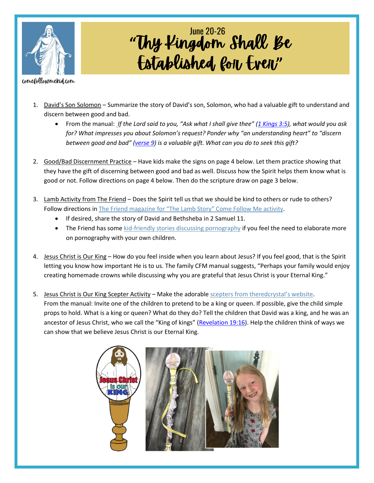

## **"** Established, *Roll, Evell*" June 20-26

comefollowmekid.com

- 1. David's Son Solomon Summarize the story of David's son, Solomon, who had a valuable gift to understand and discern between good and bad.
	- From the manual: *If the Lord said to you, "Ask what I shall give thee" (1 [Kings](https://www.churchofjesuschrist.org/study/scriptures/ot/1-kgs/3.5?lang=eng#p5) 3:5), what would you ask for? What impresses you about Solomon's request? Ponder why "an understanding heart" to "discern between good and bad" ([verse](https://www.churchofjesuschrist.org/study/scriptures/ot/1-kgs/3.9?lang=eng#p9) 9) is a valuable gift. What can you do to seek this gift?*
- 2. Good/Bad Discernment Practice Have kids make the signs on page 4 below. Let them practice showing that they have the gift of discerning between good and bad as well. Discuss how the Spirit helps them know what is good or not. Follow directions on page 4 below. Then do the scripture draw on page 3 below.
- 3. Lamb Activity from The Friend Does the Spirit tell us that we should be kind to others or rude to others? Follow directions in The Friend magazine for ["The Lamb Story" Come F](https://www.churchofjesuschrist.org/study/friend/2022/06/come-follow-me-activities?lang=eng)ollow Me activity.
	- If desired, share the story of David and Bethsheba in 2 Samuel 11.
	- The Friend has som[e kid-friendly stories discussing pornography](https://www.churchofjesuschrist.org/children/resources/topics/pornography?lang=eng) if you feel the need to elaborate more on pornography with your own children.
- 4. Jesus Christ is Our King How do you feel inside when you learn about Jesus? If you feel good, that is the Spirit letting you know how important He is to us. The family CFM manual suggests, "Perhaps your family would enjoy creating homemade crowns while discussing why you are grateful that Jesus Christ is your Eternal King."
- 5. Jesus Christ is Our King Scepter Activity Make the adorable [scepters from theredcrystal](https://www.theredcrystal.org/post/come-follow-me-for-primary-2022-june-20-26-2-samuel-5-7-11-12-1-kings-3-8-11)'s website. From the manual: Invite one of the children to pretend to be a king or queen. If possible, give the child simple props to hold. What is a king or queen? What do they do? Tell the children that David was a king, and he was an ancestor of Jesus Christ, who we call the "King of kings" ([Revelation](https://www.churchofjesuschrist.org/study/scriptures/nt/rev/19.16?lang=eng#p16) 19:16). Help the children think of ways we can show that we believe Jesus Christ is our Eternal King.

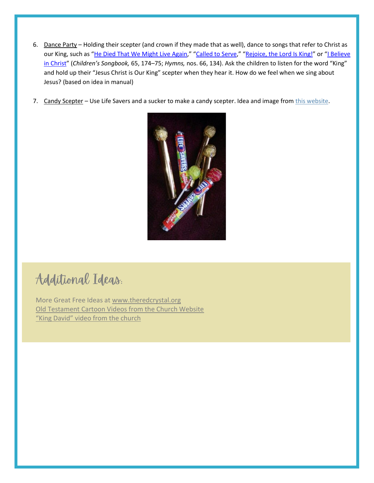- 6. Dance Party Holding their scepter (and crown if they made that as well), dance to songs that refer to Christ as our King, such as "He Died That We [Might](https://www.churchofjesuschrist.org/study/manual/childrens-songbook/he-died-that-we-might-live-again?lang=eng) Live Again," "[Called](https://www.churchofjesuschrist.org/study/manual/childrens-songbook/called-to-serve?lang=eng) to Serve," "[Rejoice,](https://www.churchofjesuschrist.org/study/manual/hymns/rejoice-the-lord-is-king?lang=eng) the Lord Is King!" or "I [Believe](https://www.churchofjesuschrist.org/study/manual/hymns/i-believe-in-christ?lang=eng) in [Christ](https://www.churchofjesuschrist.org/study/manual/hymns/i-believe-in-christ?lang=eng)" (*Children's Songbook,* 65, 174–75; *Hymns,* nos. 66, 134). Ask the children to listen for the word "King" and hold up their "Jesus Christ is Our King" scepter when they hear it. How do we feel when we sing about Jesus? (based on idea in manual)
- 7. Candy Scepter Use Life Savers and a sucker to make a candy scepter. Idea and image fro[m this website.](https://i.pinimg.com/originals/c5/f7/ce/c5f7ce556f08b6fecfb502de65ca9c10.jpg)



## Additional Ideas.

More Great Free Ideas at [www.theredcrystal.org](http://www.theredcrystal.org/) [Old Testament Cartoon Videos from the Church Website](https://www.churchofjesuschrist.org/study/manual/old-testament-stories-2022?lang=eng) ["King David" video from the church](https://abn.churchofjesuschrist.org/study/manual/old-testament-stories-2022/king-david?lang=eng)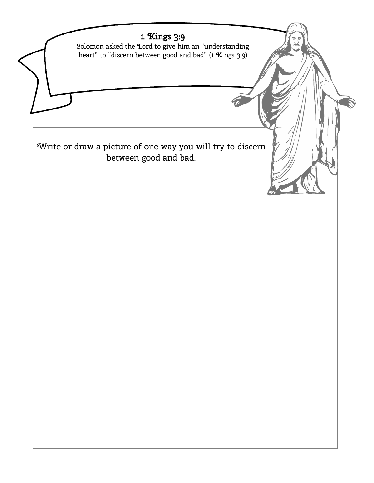